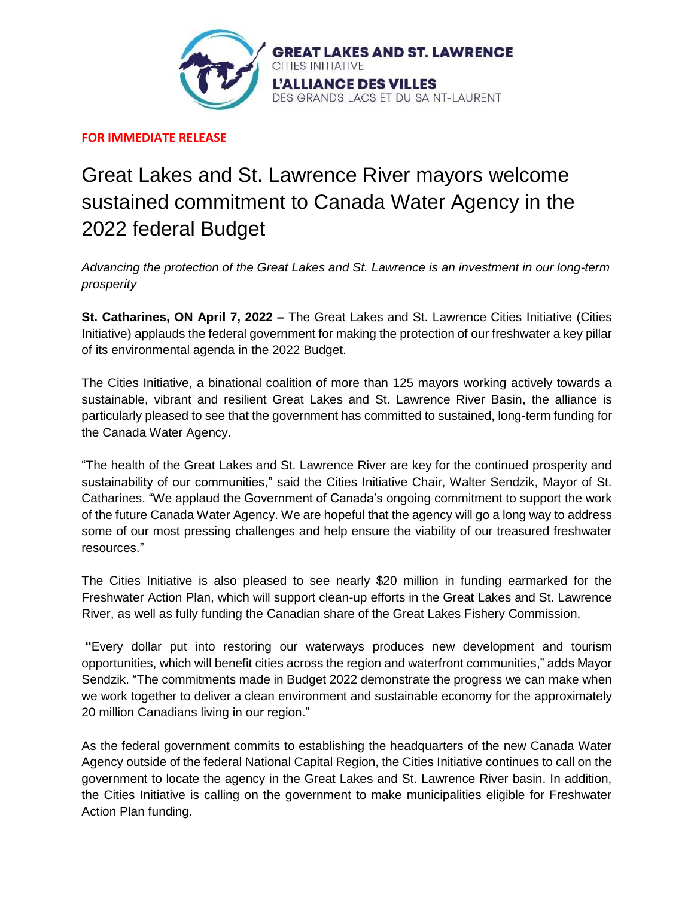

**FOR IMMEDIATE RELEASE**

## Great Lakes and St. Lawrence River mayors welcome sustained commitment to Canada Water Agency in the 2022 federal Budget

*Advancing the protection of the Great Lakes and St. Lawrence is an investment in our long-term prosperity*

**St. Catharines, ON April 7, 2022 –** The Great Lakes and St. Lawrence Cities Initiative (Cities Initiative) applauds the federal government for making the protection of our freshwater a key pillar of its environmental agenda in the 2022 Budget.

The Cities Initiative, a binational coalition of more than 125 mayors working actively towards a sustainable, vibrant and resilient Great Lakes and St. Lawrence River Basin, the alliance is particularly pleased to see that the government has committed to sustained, long-term funding for the Canada Water Agency.

"The health of the Great Lakes and St. Lawrence River are key for the continued prosperity and sustainability of our communities," said the Cities Initiative Chair, Walter Sendzik, Mayor of St. Catharines. "We applaud the Government of Canada's ongoing commitment to support the work of the future Canada Water Agency. We are hopeful that the agency will go a long way to address some of our most pressing challenges and help ensure the viability of our treasured freshwater resources."

The Cities Initiative is also pleased to see nearly \$20 million in funding earmarked for the Freshwater Action Plan, which will support clean-up efforts in the Great Lakes and St. Lawrence River, as well as fully funding the Canadian share of the Great Lakes Fishery Commission.

**"**Every dollar put into restoring our waterways produces new development and tourism opportunities, which will benefit cities across the region and waterfront communities," adds Mayor Sendzik. "The commitments made in Budget 2022 demonstrate the progress we can make when we work together to deliver a clean environment and sustainable economy for the approximately 20 million Canadians living in our region."

As the federal government commits to establishing the headquarters of the new Canada Water Agency outside of the federal National Capital Region, the Cities Initiative continues to call on the government to locate the agency in the Great Lakes and St. Lawrence River basin. In addition, the Cities Initiative is calling on the government to make municipalities eligible for Freshwater Action Plan funding.